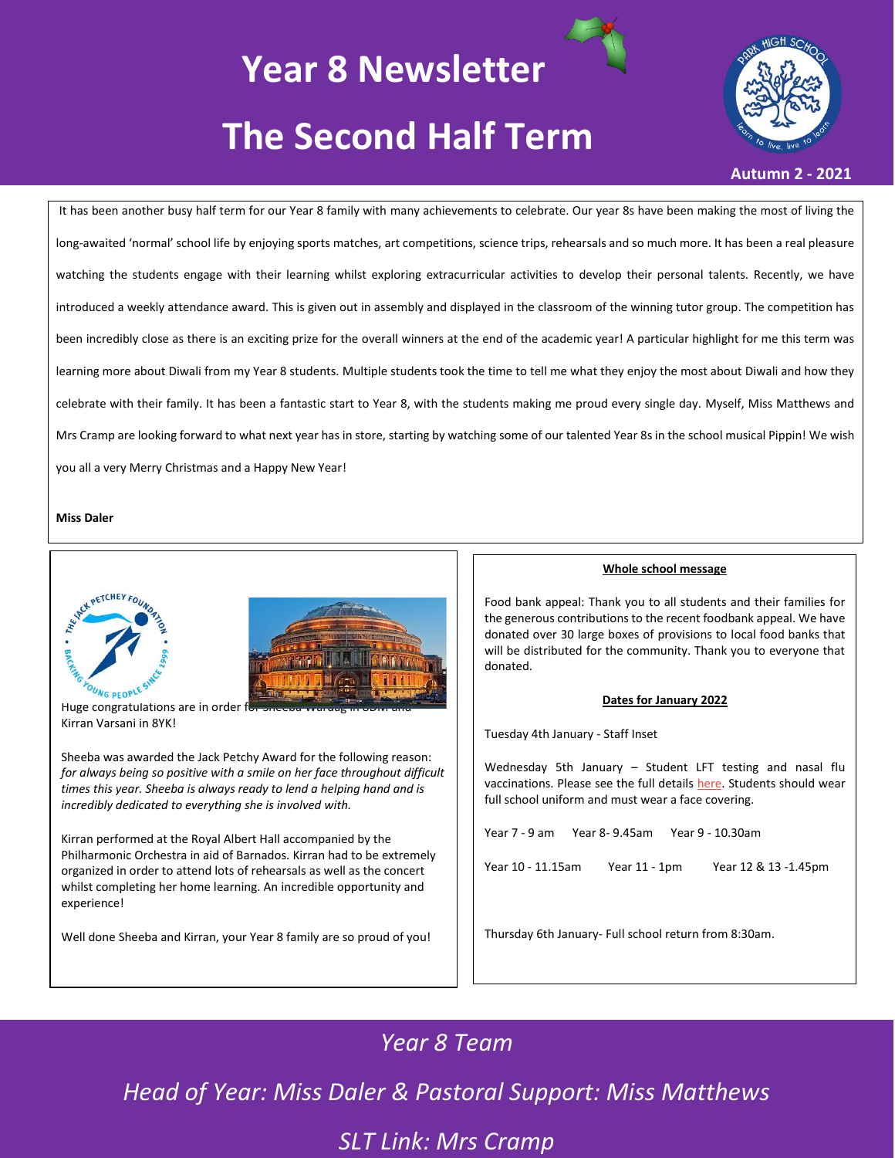# **Year 8 Newsletter The Second Half Term**

#### **Autumn 2 - 2021**

It has been another busy half term for our Year 8 family with many achievements to celebrate. Our year 8s have been making the most of living the long-awaited 'normal' school life by enjoying sports matches, art competitions, science trips, rehearsals and so much more. It has been a real pleasure watching the students engage with their learning whilst exploring extracurricular activities to develop their personal talents. Recently, we have introduced a weekly attendance award. This is given out in assembly and displayed in the classroom of the winning tutor group. The competition has been incredibly close as there is an exciting prize for the overall winners at the end of the academic year! A particular highlight for me this term was learning more about Diwali from my Year 8 students. Multiple students took the time to tell me what they enjoy the most about Diwali and how they celebrate with their family. It has been a fantastic start to Year 8, with the students making me proud every single day. Myself, Miss Matthews and Mrs Cramp are looking forward to what next year has in store, starting by watching some of our talented Year 8s in the school musical Pippin! We wish you all a very Merry Christmas and a Happy New Year!

#### **Miss Daler**



Huge congratulations are in order f Kirran Varsani in 8YK!

Sheeba was awarded the Jack Petchy Award for the following reason: *for always being so positive with a smile on her face throughout difficult times this year. Sheeba is always ready to lend a helping hand and is incredibly dedicated to everything she is involved with.*

Kirran performed at the Royal Albert Hall accompanied by the Philharmonic Orchestra in aid of Barnados. Kirran had to be extremely organized in order to attend lots of rehearsals as well as the concert whilst completing her home learning. An incredible opportunity and experience!

Well done Sheeba and Kirran, your Year 8 family are so proud of you!

#### **Whole school message**

Food bank appeal: Thank you to all students and their families for the generous contributions to the recent foodbank appeal. We have donated over 30 large boxes of provisions to local food banks that will be distributed for the community. Thank you to everyone that donated.

#### **Dates for January 2022**

Tuesday 4th January - Staff Inset

Wednesday 5th January – Student LFT testing and nasal flu vaccinations. Please see the full details [here.](https://www.parkhighstanmore.org.uk/_site/data/files/files/95617A296E546AD723D0CA88FFF910F9.pdf) Students should wear full school uniform and must wear a face covering.

Year 7 - 9 am Year 8- 9.45am Year 9 - 10.30am

Year 10 - 11.15am Year 11 - 1pm Year 12 & 13 -1.45pm

Thursday 6th January- Full school return from 8:30am.

## *Year 8 Team*

*Head of Year: Miss Daler & Pastoral Support: Miss Matthews*

*SLT Link: Mrs Cramp*